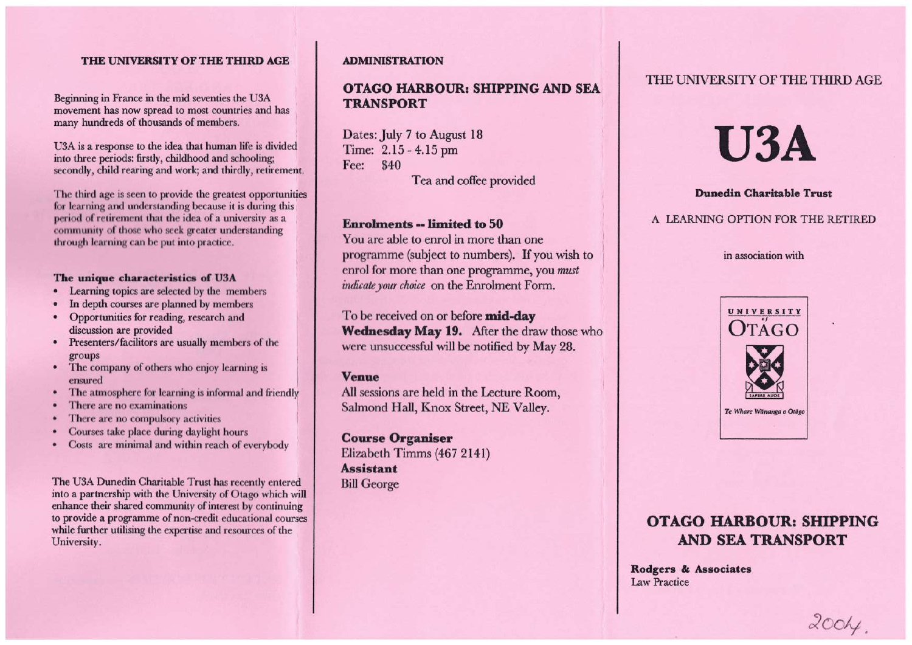#### **THE UNIVERSITY OF THE THIRD AGE**

Beginning in France in the mid seventies the U3A movement has now spread to most countries and has many hundreds of thousands of members.

U3A is a response to the idea that human life is divided into three periods: firstly, childhood and schooling; secondly, child rearing and work; and thirdly, retirement.

The third age is seen to provide the greatest opportunities for learning and understanding because it is during this period of retirement that the idea of a university as a community of those who seek greater understanding through learning can be put into practice.

#### **The unique characteristics of U3A**

- Learning topics are selected by the members
- In depth courses are planned by members
- Opportunities for reading, research and discussion are provided
- Presenters/facilitors are usually members of the groups
- The company of others who enjoy learning is ensured
- The atmosphere for learning is informal and friendly
- There are no examinations
- There are no compulsory activities
- Courses take place during daylight hours
- Costs are minimal and within reach of everybody

The U3A Dunedin Charitable Trust has recently entered into a partnership with the University of Otago which will enhance their shared community of interest by continuing to provide a programme of non-credit educational courses while further utilising the expertise and resources of the University.

#### **ADMINISTRATION**

## **OTAGO HARBOUR: SHIPPING AND SEA TRANSPORT**

Dates: July 7 to August 18 Time: 2.15 - 4.15 pm Fee: \$40 Tea and coffee provided

### **Enrolments -- limited to 50**

You are able to enrol in more than one programme (subject to numbers). If you wish to enrol for more than one programme, you *must indicate your choice* on the Enrolment Form.

To be received on or before **mid-day Wednesday May 19.** After the draw those who were unsuccessful will be notified by May 28.

#### **Venue**

All sessions are held in the Lecture Room, Salmond Hall, Knox Street, NE Valley.

**Course Organiser**  Elizabeth Timms (467 2141) **Assistant**  Bill George

## THE UNIVERSITY OF THE THIRD AGE

# **U3A**

#### **Dunedin Charitable Trust**

#### A LEARNING OPTION FOR THE RETIRED

#### in association with



# **OTAGO HARBOUR: SHIPPING AND SEA TRANSPORT**

**Rodgers & Associates**  Law Practice

 $200<sub>4</sub>$